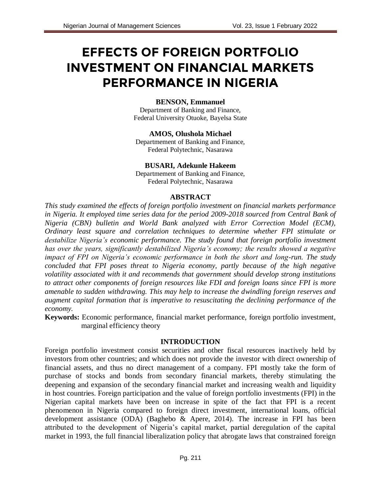# **EFFECTS OF FOREIGN PORTFOLIO INVESTMENT ON FINANCIAL MARKETS PERFORMANCE IN NIGERIA**

#### **BENSON, Emmanuel**

Department of Banking and Finance, Federal University Otuoke, Bayelsa State

**AMOS, Olushola Michael** Departmement of Banking and Finance, Federal Polytechnic, Nasarawa

**BUSARI, Adekunle Hakeem** Departmement of Banking and Finance,

Federal Polytechnic, Nasarawa

#### **ABSTRACT**

*This study examined the effects of foreign portfolio investment on financial markets performance in Nigeria. It employed time series data for the period 2009-2018 sourced from Central Bank of Nigeria (CBN) bulletin and World Bank analyzed with Error Correction Model (ECM), Ordinary least square and correlation techniques to determine whether FPI stimulate or destabilize Nigeria's economic performance. The study found that foreign portfolio investment has over the years, significantly destabilized Nigeria's economy; the results showed a negative impact of FPI on Nigeria's economic performance in both the short and long-run. The study concluded that FPI poses threat to Nigeria economy, partly because of the high negative volatility associated with it and recommends that government should develop strong institutions to attract other components of foreign resources like FDI and foreign loans since FPI is more amenable to sudden withdrawing. This may help to increase the dwindling foreign reserves and augment capital formation that is imperative to resuscitating the declining performance of the economy.*

**Keywords:** Economic performance, financial market performance, foreign portfolio investment, marginal efficiency theory

#### **INTRODUCTION**

Foreign portfolio investment consist securities and other fiscal resources inactively held by investors from other countries; and which does not provide the investor with direct ownership of financial assets, and thus no direct management of a company. FPI mostly take the form of purchase of stocks and bonds from secondary financial markets, thereby stimulating the deepening and expansion of the secondary financial market and increasing wealth and liquidity in host countries. Foreign participation and the value of foreign portfolio investments (FPI) in the Nigerian capital markets have been on increase in spite of the fact that FPI is a recent phenomenon in Nigeria compared to foreign direct investment, international loans, official development assistance (ODA) (Baghebo & Apere, 2014). The increase in FPI has been attributed to the development of Nigeria's capital market, partial deregulation of the capital market in 1993, the full financial liberalization policy that abrogate laws that constrained foreign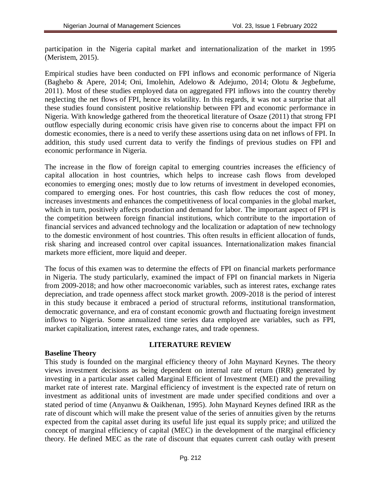participation in the Nigeria capital market and internationalization of the market in 1995 (Meristem, 2015).

Empirical studies have been conducted on FPI inflows and economic performance of Nigeria (Baghebo & Apere, 2014; Oni, Imolehin, Adelowo & Adejumo, 2014; Olotu & Jegbefume, 2011). Most of these studies employed data on aggregated FPI inflows into the country thereby neglecting the net flows of FPI, hence its volatility. In this regards, it was not a surprise that all these studies found consistent positive relationship between FPI and economic performance in Nigeria. With knowledge gathered from the theoretical literature of Osaze (2011) that strong FPI outflow especially during economic crisis have given rise to concerns about the impact FPI on domestic economies, there is a need to verify these assertions using data on net inflows of FPI. In addition, this study used current data to verify the findings of previous studies on FPI and economic performance in Nigeria.

The increase in the flow of foreign capital to emerging countries increases the efficiency of capital allocation in host countries, which helps to increase cash flows from developed economies to emerging ones; mostly due to low returns of investment in developed economies, compared to emerging ones. For host countries, this cash flow reduces the cost of money, increases investments and enhances the competitiveness of local companies in the global market, which in turn, positively affects production and demand for labor. The important aspect of FPI is the competition between foreign financial institutions, which contribute to the importation of financial services and advanced technology and the localization or adaptation of new technology to the domestic environment of host countries. This often results in efficient allocation of funds, risk sharing and increased control over capital issuances. Internationalization makes financial markets more efficient, more liquid and deeper.

The focus of this examen was to determine the effects of FPI on financial markets performance in Nigeria. The study particularly, examined the impact of FPI on financial markets in Nigeria from 2009-2018; and how other macroeconomic variables, such as interest rates, exchange rates depreciation, and trade openness affect stock market growth. 2009-2018 is the period of interest in this study because it embraced a period of structural reforms, institutional transformation, democratic governance, and era of constant economic growth and fluctuating foreign investment inflows to Nigeria. Some annualized time series data employed are variables, such as FPI, market capitalization, interest rates, exchange rates, and trade openness.

#### **LITERATURE REVIEW**

## **Baseline Theory**

This study is founded on the marginal efficiency theory of John Maynard Keynes. The theory views investment decisions as being dependent on internal rate of return (IRR) generated by investing in a particular asset called Marginal Efficient of Investment (MEI) and the prevailing market rate of interest rate. Marginal efficiency of investment is the expected rate of return on investment as additional units of investment are made under specified conditions and over a stated period of time (Anyanwu & Oaikhenan, 1995). John Maynard Keynes defined IRR as the rate of discount which will make the present value of the series of annuities given by the returns expected from the capital asset during its useful life just equal its supply price; and utilized the concept of marginal efficiency of capital (MEC) in the development of the marginal efficiency theory. He defined MEC as the rate of discount that equates current cash outlay with present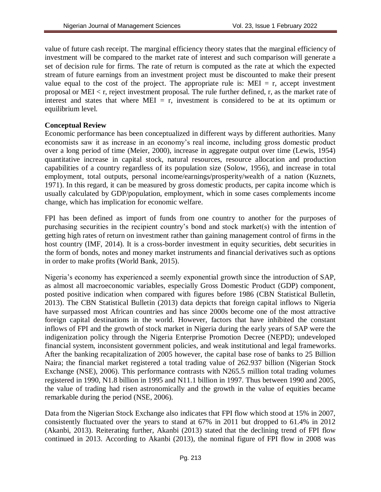value of future cash receipt. The marginal efficiency theory states that the marginal efficiency of investment will be compared to the market rate of interest and such comparison will generate a set of decision rule for firms. The rate of return is computed as the rate at which the expected stream of future earnings from an investment project must be discounted to make their present value equal to the cost of the project. The appropriate rule is:  $MEI = r$ , accept investment proposal or MEI < r, reject investment proposal. The rule further defined, r, as the market rate of interest and states that where MEI = r, investment is considered to be at its optimum or equilibrium level.

### **Conceptual Review**

Economic performance has been conceptualized in different ways by different authorities. Many economists saw it as increase in an economy's real income, including gross domestic product over a long period of time (Meier, 2000), increase in aggregate output over time (Lewis, 1954) quantitative increase in capital stock, natural resources, resource allocation and production capabilities of a country regardless of its population size (Solow, 1956), and increase in total employment, total outputs, personal income/earnings/prosperity/wealth of a nation (Kuznets, 1971). In this regard, it can be measured by gross domestic products, per capita income which is usually calculated by GDP/population, employment, which in some cases complements income change, which has implication for economic welfare.

FPI has been defined as import of funds from one country to another for the purposes of purchasing securities in the recipient country's bond and stock market(s) with the intention of getting high rates of return on investment rather than gaining management control of firms in the host country (IMF, 2014). It is a cross-border investment in equity securities, debt securities in the form of bonds, notes and money market instruments and financial derivatives such as options in order to make profits (World Bank, 2015).

Nigeria's economy has experienced a seemly exponential growth since the introduction of SAP, as almost all macroeconomic variables, especially Gross Domestic Product (GDP) component, posted positive indication when compared with figures before 1986 (CBN Statistical Bulletin, 2013). The CBN Statistical Bulletin (2013) data depicts that foreign capital inflows to Nigeria have surpassed most African countries and has since 2000s become one of the most attractive foreign capital destinations in the world. However, factors that have inhibited the constant inflows of FPI and the growth of stock market in Nigeria during the early years of SAP were the indigenization policy through the Nigeria Enterprise Promotion Decree (NEPD); undeveloped financial system, inconsistent government policies, and weak institutional and legal frameworks. After the banking recapitalization of 2005 however, the capital base rose of banks to 25 Billion Naira; the financial market registered a total trading value of 262.937 billion (Nigerian Stock Exchange (NSE), 2006). This performance contrasts with N265.5 million total trading volumes registered in 1990, N1.8 billion in 1995 and N11.1 billion in 1997. Thus between 1990 and 2005, the value of trading had risen astronomically and the growth in the value of equities became remarkable during the period (NSE, 2006).

Data from the Nigerian Stock Exchange also indicates that FPI flow which stood at 15% in 2007, consistently fluctuated over the years to stand at 67% in 2011 but dropped to 61.4% in 2012 (Akanbi, 2013). Reiterating further, Akanbi (2013) stated that the declining trend of FPI flow continued in 2013. According to Akanbi (2013), the nominal figure of FPI flow in 2008 was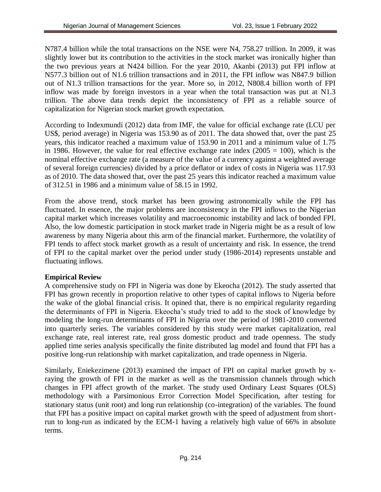N787.4 billion while the total transactions on the NSE were N4, 758.27 trillion. In 2009, it was slightly lower but its contribution to the activities in the stock market was ironically higher than the two previous years at N424 billion. For the year 2010, Akanbi (2013) put FPI inflow at N577.3 billion out of N1.6 trillion transactions and in 2011, the FPI inflow was N847.9 billion out of N1.3 trillion transactions for the year. More so, in 2012, N808.4 billion worth of FPI inflow was made by foreign investors in a year when the total transaction was put at N1.3 trillion. The above data trends depict the inconsistency of FPI as a reliable source of capitalization for Nigerian stock market growth expectation.

According to Indexmundi (2012) data from IMF, the value for official exchange rate (LCU per US\$, period average) in Nigeria was 153.90 as of 2011. The data showed that, over the past 25 years, this indicator reached a maximum value of 153.90 in 2011 and a minimum value of 1.75 in 1986. However, the value for real effective exchange rate index (2005 = 100), which is the nominal effective exchange rate (a measure of the value of a currency against a weighted average of several foreign currencies) divided by a price deflator or index of costs in Nigeria was 117.93 as of 2010. The data showed that, over the past 25 years this indicator reached a maximum value of 312.51 in 1986 and a minimum value of 58.15 in 1992.

From the above trend, stock market has been growing astronomically while the FPI has fluctuated. In essence, the major problems are inconsistency in the FPI inflows to the Nigerian capital market which increases volatility and macroeconomic instability and lack of bonded FPI. Also, the low domestic participation in stock market trade in Nigeria might be as a result of low awareness by many Nigeria about this arm of the financial market. Furthermore, the volatility of FPI tends to affect stock market growth as a result of uncertainty and risk. In essence, the trend of FPI to the capital market over the period under study (1986-2014) represents unstable and fluctuating inflows.

## **Empirical Review**

A comprehensive study on FPI in Nigeria was done by Ekeocha (2012). The study asserted that FPI has grown recently in proportion relative to other types of capital inflows to Nigeria before the wake of the global financial crisis. It opined that, there is no empirical regularity regarding the determinants of FPI in Nigeria. Ekeocha's study tried to add to the stock of knowledge by modeling the long-run determinants of FPI in Nigeria over the period of 1981-2010 converted into quarterly series. The variables considered by this study were market capitalization, real exchange rate, real interest rate, real gross domestic product and trade openness. The study applied time series analysis specifically the finite distributed lag model and found that FPI has a positive long-run relationship with market capitalization, and trade openness in Nigeria.

Similarly, Eniekezimene (2013) examined the impact of FPI on capital market growth by xraying the growth of FPI in the market as well as the transmission channels through which changes in FPI affect growth of the market. The study used Ordinary Least Squares (OLS) methodology with a Parsimonious Error Correction Model Specification, after testing for stationary status (unit root) and long run relationship (co-integration) of the variables. The found that FPI has a positive impact on capital market growth with the speed of adjustment from shortrun to long-run as indicated by the ECM-1 having a relatively high value of 66% in absolute terms.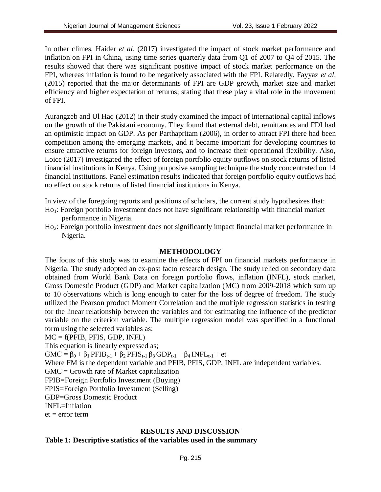In other climes, Haider *et al*. (2017) investigated the impact of stock market performance and inflation on FPI in China, using time series quarterly data from Q1 of 2007 to Q4 of 2015. The results showed that there was significant positive impact of stock market performance on the FPI, whereas inflation is found to be negatively associated with the FPI. Relatedly, Fayyaz *et al*. (2015) reported that the major determinants of FPI are GDP growth, market size and market efficiency and higher expectation of returns; stating that these play a vital role in the movement of FPI.

Aurangzeb and Ul Haq (2012) in their study examined the impact of international capital inflows on the growth of the Pakistani economy. They found that external debt, remittances and FDI had an optimistic impact on GDP. As per Parthapritam (2006), in order to attract FPI there had been competition among the emerging markets, and it became important for developing countries to ensure attractive returns for foreign investors, and to increase their operational flexibility. Also, Loice (2017) investigated the effect of foreign portfolio equity outflows on stock returns of listed financial institutions in Kenya. Using purposive sampling technique the study concentrated on 14 financial institutions. Panel estimation results indicated that foreign portfolio equity outflows had no effect on stock returns of listed financial institutions in Kenya.

In view of the foregoing reports and positions of scholars, the current study hypothesizes that:

- Ho1: Foreign portfolio investment does not have significant relationship with financial market performance in Nigeria.
- Ho2: Foreign portfolio investment does not significantly impact financial market performance in Nigeria.

## **METHODOLOGY**

The focus of this study was to examine the effects of FPI on financial markets performance in Nigeria. The study adopted an ex-post facto research design. The study relied on secondary data obtained from World Bank Data on foreign portfolio flows, inflation (INFL), stock market, Gross Domestic Product (GDP) and Market capitalization (MC) from 2009-2018 which sum up to 10 observations which is long enough to cater for the loss of degree of freedom. The study utilized the Pearson product Moment Correlation and the multiple regression statistics in testing for the linear relationship between the variables and for estimating the influence of the predictor variable on the criterion variable. The multiple regression model was specified in a functional form using the selected variables as:

#### MC = f(PFIB, PFIS, GDP, INFL)

This equation is linearly expressed as;

GMC =  $\beta_0 + \beta_1$  PFIB<sub>t-1</sub> +  $\beta_2$  PFIS<sub>t-1</sub>  $\beta_3$  GDP<sub>t-1</sub> +  $\beta_4$  INFL<sub>t-1</sub> + et

Where FM is the dependent variable and PFIB, PFIS, GDP, INFL are independent variables.

GMC = Growth rate of Market capitalization

FPIB=Foreign Portfolio Investment (Buying)

FPIS=Foreign Portfolio Investment (Selling)

GDP=Gross Domestic Product

INFL=Inflation

 $et = error term$ 

## **RESULTS AND DISCUSSION**

## **Table 1: Descriptive statistics of the variables used in the summary**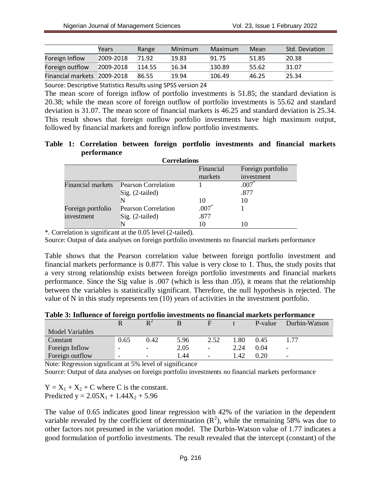|                   | Years     | Range  | Minimum | Maximum | Mean  | Std. Deviation |
|-------------------|-----------|--------|---------|---------|-------|----------------|
| Foreign Inflow    | 2009-2018 | 71.92  | 19.83   | 91.75   | 51.85 | 20.38          |
| Foreign outflow   | 2009-2018 | 114.55 | 16.34   | 130.89  | 55.62 | 31.07          |
| Financial markets | 2009-2018 | 86.55  | 19.94   | 106.49  | 46.25 | 25.34          |

Source: Descriptive Statistics Results using SPSS version 24

The mean score of foreign inflow of portfolio investments is 51.85; the standard deviation is 20.38; while the mean score of foreign outflow of portfolio investments is 55.62 and standard deviation is 31.07. The mean score of financial markets is 46.25 and standard deviation is 25.34. This result shows that foreign outflow portfolio investments have high maximum output, followed by financial markets and foreign inflow portfolio investments.

### **Table 1: Correlation between foreign portfolio investments and financial markets performance**

| <b>Correlations</b>      |                            |           |                   |  |  |  |
|--------------------------|----------------------------|-----------|-------------------|--|--|--|
|                          |                            | Financial | Foreign portfolio |  |  |  |
|                          |                            | markets   | investment        |  |  |  |
| <b>Financial markets</b> | <b>Pearson Correlation</b> |           | $.007*$           |  |  |  |
|                          | Sig. (2-tailed)            |           | .877              |  |  |  |
|                          |                            | 10        | 10                |  |  |  |
| Foreign portfolio        | <b>Pearson Correlation</b> | $.007*$   |                   |  |  |  |
| investment               | Sig. (2-tailed)            | .877      |                   |  |  |  |
|                          |                            | 10        |                   |  |  |  |

\*. Correlation is significant at the 0.05 level (2-tailed).

Source: Output of data analyses on foreign portfolio investments no financial markets performance

Table shows that the Pearson correlation value between foreign portfolio investment and financial markets performance is 0.877. This value is very close to 1. Thus, the study posits that a very strong relationship exists between foreign portfolio investments and financial markets performance. Since the Sig value is .007 (which is less than .05), it means that the relationship between the variables is statistically significant. Therefore, the null hypothesis is rejected. The value of N in this study represents ten (10) years of activities in the investment portfolio.

#### **Table 3: Influence of foreign portfolio investments no financial markets performance**

|                        |      | D <sup>2</sup>           |       | $\mathbf F$              |        | P-value | Durbin-Watson            |
|------------------------|------|--------------------------|-------|--------------------------|--------|---------|--------------------------|
| <b>Model Variables</b> |      |                          |       |                          |        |         |                          |
| Constant               | 0.65 | 0.42                     | 5.96  | 2.52                     | . . 80 | 0.45    |                          |
| Foreign Inflow         | -    | $\overline{\phantom{a}}$ | 2.05  | $\overline{\phantom{a}}$ | 2.24   | 0.04    | $\overline{\phantom{0}}$ |
| Foreign outflow        | -    | -                        | 44. ا | $\overline{\phantom{a}}$ | 1.42   | 0.20    | $\overline{\phantom{0}}$ |

Note: Regression significant at 5% level of significance

Source: Output of data analyses on foreign portfolio investments no financial markets performance

 $Y = X_1 + X_2 + C$  where C is the constant. Predicted  $y = 2.05X_1 + 1.44X_2 + 5.96$ 

The value of 0.65 indicates good linear regression with 42% of the variation in the dependent variable revealed by the coefficient of determination  $(R^2)$ , while the remaining 58% was due to other factors not presumed in the variation model. The Durbin-Watson value of 1.77 indicates a good formulation of portfolio investments. The result revealed that the intercept (constant) of the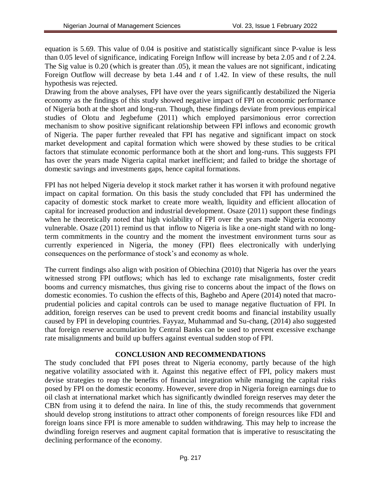equation is 5.69. This value of 0.04 is positive and statistically significant since P-value is less than 0.05 level of significance, indicating Foreign Inflow will increase by beta 2.05 and *t* of 2.24. The Sig value is 0.20 (which is greater than .05), it mean the values are not significant, indicating Foreign Outflow will decrease by beta 1.44 and *t* of 1.42. In view of these results, the null hypothesis was rejected.

Drawing from the above analyses, FPI have over the years significantly destabilized the Nigeria economy as the findings of this study showed negative impact of FPI on economic performance of Nigeria both at the short and long-run. Though, these findings deviate from previous empirical studies of Olotu and Jegbefume (2011) which employed parsimonious error correction mechanism to show positive significant relationship between FPI inflows and economic growth of Nigeria. The paper further revealed that FPI has negative and significant impact on stock market development and capital formation which were showed by these studies to be critical factors that stimulate economic performance both at the short and long-runs. This suggests FPI has over the years made Nigeria capital market inefficient; and failed to bridge the shortage of domestic savings and investments gaps, hence capital formations.

FPI has not helped Nigeria develop it stock market rather it has worsen it with profound negative impact on capital formation. On this basis the study concluded that FPI has undermined the capacity of domestic stock market to create more wealth, liquidity and efficient allocation of capital for increased production and industrial development. Osaze (2011) support these findings when he theoretically noted that high violability of FPI over the years made Nigeria economy vulnerable. Osaze (2011) remind us that inflow to Nigeria is like a one-night stand with no longterm commitments in the country and the moment the investment environment turns sour as currently experienced in Nigeria, the money (FPI) flees electronically with underlying consequences on the performance of stock's and economy as whole.

The current findings also align with position of Obiechina (2010) that Nigeria has over the years witnessed strong FPI outflows; which has led to exchange rate misalignments, foster credit booms and currency mismatches, thus giving rise to concerns about the impact of the flows on domestic economies. To cushion the effects of this, Baghebo and Apere (2014) noted that macroprudential policies and capital controls can be used to manage negative fluctuation of FPI. In addition, foreign reserves can be used to prevent credit booms and financial instability usually caused by FPI in developing countries. Fayyaz, Muhammad and Su-chang, (2014) also suggested that foreign reserve accumulation by Central Banks can be used to prevent excessive exchange rate misalignments and build up buffers against eventual sudden stop of FPI.

## **CONCLUSION AND RECOMMENDATIONS**

The study concluded that FPI poses threat to Nigeria economy, partly because of the high negative volatility associated with it. Against this negative effect of FPI, policy makers must devise strategies to reap the benefits of financial integration while managing the capital risks posed by FPI on the domestic economy. However, severe drop in Nigeria foreign earnings due to oil clash at international market which has significantly dwindled foreign reserves may deter the CBN from using it to defend the naira. In line of this, the study recommends that government should develop strong institutions to attract other components of foreign resources like FDI and foreign loans since FPI is more amenable to sudden withdrawing. This may help to increase the dwindling foreign reserves and augment capital formation that is imperative to resuscitating the declining performance of the economy.